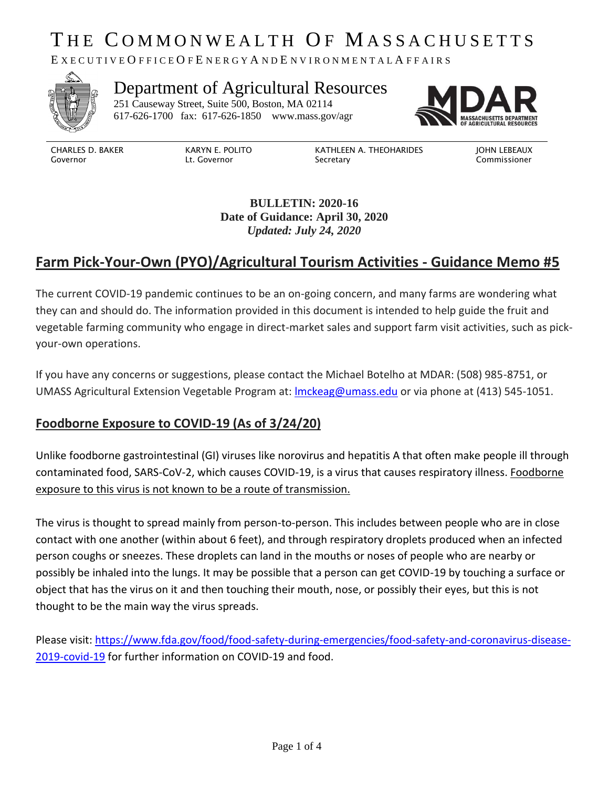# THE COMMONWEALTH OF MASSACHUSETTS

E X E C U T I V E O F F I C E O F E N E R G Y A N D E N V I R O N M E N T A L A F F A I R S



## Department of Agricultural Resources

251 Causeway Street, Suite 500, Boston, MA 02114 617-626-1700 fax: 617-626-1850 [www.mass.gov/agr](http://www.mass.gov/agr)



CHARLES D. BAKER Governor

KARYN E. POLITO Lt. Governor

KATHLEEN A. THEOHARIDES Secretary

JOHN LEBEAUX Commissioner

**BULLETIN: 2020-16 Date of Guidance: April 30, 2020** *Updated: July 24, 2020*

## **Farm Pick-Your-Own (PYO)/Agricultural Tourism Activities - Guidance Memo #5**

The current COVID-19 pandemic continues to be an on-going concern, and many farms are wondering what they can and should do. The information provided in this document is intended to help guide the fruit and vegetable farming community who engage in direct-market sales and support farm visit activities, such as pickyour-own operations.

If you have any concerns or suggestions, please contact the Michael Botelho at MDAR: (508) 985-8751, or UMASS Agricultural Extension Vegetable Program at: **Imckeag@umass.edu** or via phone at (413) 545-1051.

#### **Foodborne Exposure to COVID-19 (As of 3/24/20)**

Unlike foodborne gastrointestinal (GI) viruses like norovirus and hepatitis A that often make people ill through contaminated food, SARS-CoV-2, which causes COVID-19, is a virus that causes respiratory illness. Foodborne exposure to this virus is not known to be a route of transmission.

The virus is thought to spread mainly from person-to-person. This includes between people who are in close contact with one another (within about 6 feet), and through respiratory droplets produced when an infected person coughs or sneezes. These droplets can land in the mouths or noses of people who are nearby or possibly be inhaled into the lungs. It may be possible that a person can get COVID-19 by touching a surface or object that has the virus on it and then touching their mouth, nose, or possibly their eyes, but this is not thought to be the main way the virus spreads.

Please visit: [https://www.fda.gov/food/food-safety-during-emergencies/food-safety-and-coronavirus-disease-](https://www.fda.gov/food/food-safety-during-emergencies/food-safety-and-coronavirus-disease-2019-covid-19)[2019-covid-19](https://www.fda.gov/food/food-safety-during-emergencies/food-safety-and-coronavirus-disease-2019-covid-19) for further information on COVID-19 and food.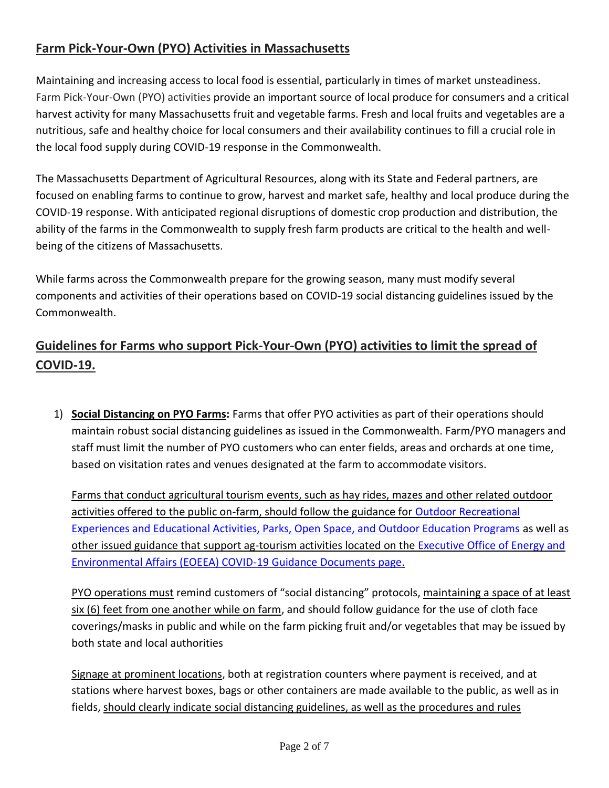### **Farm Pick-Your-Own (PYO) Activities in Massachusetts**

Maintaining and increasing access to local food is essential, particularly in times of market unsteadiness. Farm Pick-Your-Own (PYO) activities provide an important source of local produce for consumers and a critical harvest activity for many Massachusetts fruit and vegetable farms. Fresh and local fruits and vegetables are a nutritious, safe and healthy choice for local consumers and their availability continues to fill a crucial role in the local food supply during COVID-19 response in the Commonwealth.

The Massachusetts Department of Agricultural Resources, along with its State and Federal partners, are focused on enabling farms to continue to grow, harvest and market safe, healthy and local produce during the COVID-19 response. With anticipated regional disruptions of domestic crop production and distribution, the ability of the farms in the Commonwealth to supply fresh farm products are critical to the health and wellbeing of the citizens of Massachusetts.

While farms across the Commonwealth prepare for the growing season, many must modify several components and activities of their operations based on COVID-19 social distancing guidelines issued by the Commonwealth.

## **Guidelines for Farms who support Pick-Your-Own (PYO) activities to limit the spread of COVID-19.**

1) **Social Distancing on PYO Farms:** Farms that offer PYO activities as part of their operations should maintain robust social distancing guidelines as issued in the Commonwealth. Farm/PYO managers and staff must limit the number of PYO customers who can enter fields, areas and orchards at one time, based on visitation rates and venues designated at the farm to accommodate visitors.

Farms that conduct agricultural tourism events, such as hay rides, mazes and other related outdoor activities offered to the public on-farm, should follow the guidance for [Outdoor Recreational](https://www.mass.gov/doc/businesses-providing-outdoor-recreational-experiences-and-educational-activities-phase-iii-step/download) [Experiences and Educational Activities, Parks, Open Space, and Outdoor Education Programs](https://www.mass.gov/doc/businesses-providing-outdoor-recreational-experiences-and-educational-activities-phase-iii-step/download) as well as other issued guidance that support ag-tourism activities located on the [Executive Office of Energy and](https://www.mass.gov/info-details/executive-office-of-energy-and-environmental-affairs-eea-covid-19-guidance-documents#outdoor-recreational-experiences-and-educational-activities-) [Environmental Affairs \(EOEEA\) COVID-19 Guidance Documents page.](https://www.mass.gov/info-details/executive-office-of-energy-and-environmental-affairs-eea-covid-19-guidance-documents#outdoor-recreational-experiences-and-educational-activities-)

PYO operations must remind customers of "social distancing" protocols, maintaining a space of at least six (6) feet from one another while on farm, and should follow guidance for the use of cloth face coverings/masks in public and while on the farm picking fruit and/or vegetables that may be issued by both state and local authorities

Signage at prominent locations, both at registration counters where payment is received, and at stations where harvest boxes, bags or other containers are made available to the public, as well as in fields, should clearly indicate social distancing guidelines, as well as the procedures and rules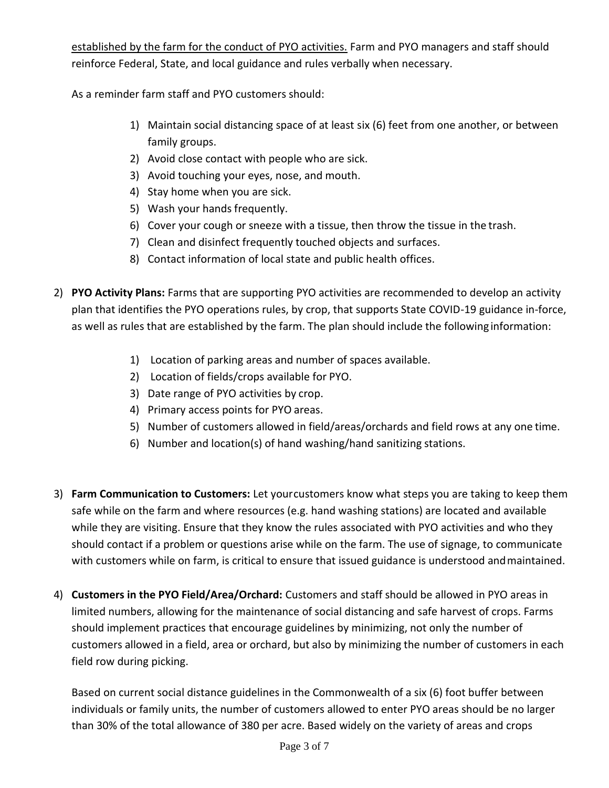established by the farm for the conduct of PYO activities. Farm and PYO managers and staff should reinforce Federal, State, and local guidance and rules verbally when necessary.

As a reminder farm staff and PYO customers should:

- 1) Maintain social distancing space of at least six (6) feet from one another, or between family groups.
- 2) Avoid close contact with people who are sick.
- 3) Avoid touching your eyes, nose, and mouth.
- 4) Stay home when you are sick.
- 5) Wash your hands frequently.
- 6) Cover your cough or sneeze with a tissue, then throw the tissue in the trash.
- 7) Clean and disinfect frequently touched objects and surfaces.
- 8) Contact information of local state and public health offices.
- 2) **PYO Activity Plans:** Farms that are supporting PYO activities are recommended to develop an activity plan that identifies the PYO operations rules, by crop, that supports State COVID-19 guidance in-force, as well as rules that are established by the farm. The plan should include the followinginformation:
	- 1) Location of parking areas and number of spaces available.
	- 2) Location of fields/crops available for PYO.
	- 3) Date range of PYO activities by crop.
	- 4) Primary access points for PYO areas.
	- 5) Number of customers allowed in field/areas/orchards and field rows at any one time.
	- 6) Number and location(s) of hand washing/hand sanitizing stations.
- 3) **Farm Communication to Customers:** Let yourcustomers know what steps you are taking to keep them safe while on the farm and where resources (e.g. hand washing stations) are located and available while they are visiting. Ensure that they know the rules associated with PYO activities and who they should contact if a problem or questions arise while on the farm. The use of signage, to communicate with customers while on farm, is critical to ensure that issued guidance is understood andmaintained.
- 4) **Customers in the PYO Field/Area/Orchard:** Customers and staff should be allowed in PYO areas in limited numbers, allowing for the maintenance of social distancing and safe harvest of crops. Farms should implement practices that encourage guidelines by minimizing, not only the number of customers allowed in a field, area or orchard, but also by minimizing the number of customers in each field row during picking.

Based on current social distance guidelines in the Commonwealth of a six (6) foot buffer between individuals or family units, the number of customers allowed to enter PYO areas should be no larger than 30% of the total allowance of 380 per acre. Based widely on the variety of areas and crops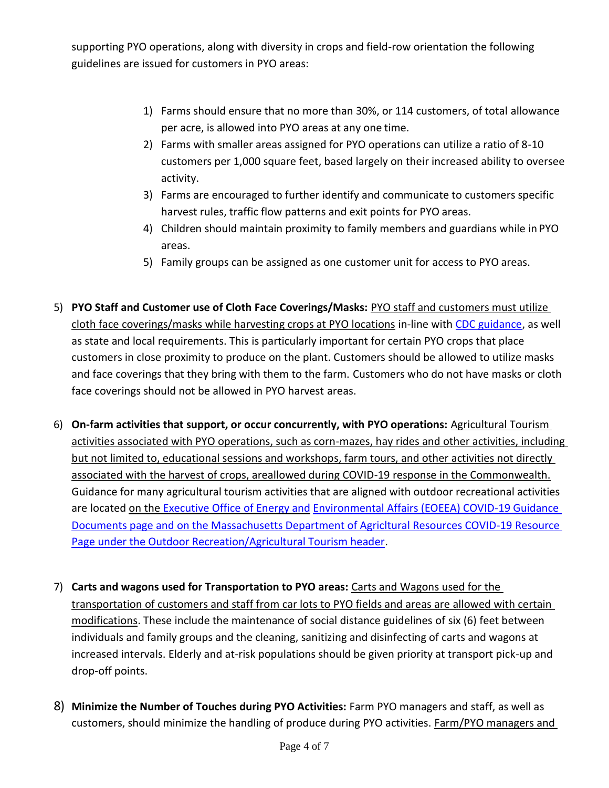supporting PYO operations, along with diversity in crops and field-row orientation the following guidelines are issued for customers in PYO areas:

- 1) Farms should ensure that no more than 30%, or 114 customers, of total allowance per acre, is allowed into PYO areas at any one time.
- 2) Farms with smaller areas assigned for PYO operations can utilize a ratio of 8-10 customers per 1,000 square feet, based largely on their increased ability to oversee activity.
- 3) Farms are encouraged to further identify and communicate to customers specific harvest rules, traffic flow patterns and exit points for PYO areas.
- 4) Children should maintain proximity to family members and guardians while in PYO areas.
- 5) Family groups can be assigned as one customer unit for access to PYO areas.
- 5) **PYO Staff and Customer use of Cloth Face Coverings/Masks:** PYO staff and customers must utilize cloth face coverings/masks while harvesting crops at PYO locations in-line with [CDC guidance,](https://www.cdc.gov/coronavirus/2019-ncov/prevent-getting-sick/cloth-face-cover.html) as well as state and local requirements. This is particularly important for certain PYO crops that place customers in close proximity to produce on the plant. Customers should be allowed to utilize masks and face coverings that they bring with them to the farm. Customers who do not have masks or cloth face coverings should not be allowed in PYO harvest areas.
- 6) **On-farm activities that support, or occur concurrently, with PYO operations:** Agricultural Tourism activities associated with PYO operations, such as corn-mazes, hay rides and other activities, including but not limited to, educational sessions and workshops, farm tours, and other activities not directly associated with the harvest of crops, areallowed during COVID-19 response in the Commonwealth. Guidance for many agricultural tourism activities that are aligned with outdoor recreational activities are located on the [Executive Office of Energy and](https://www.mass.gov/info-details/executive-office-of-energy-and-environmental-affairs-eea-covid-19-guidance-documents#outdoor-recreational-experiences-and-educational-activities-) [Environmental Affairs \(EOEEA\) COVID-19 Guidance](https://www.mass.gov/info-details/executive-office-of-energy-and-environmental-affairs-eea-covid-19-guidance-documents#outdoor-recreational-experiences-and-educational-activities-)  [Documents page](https://www.mass.gov/info-details/executive-office-of-energy-and-environmental-affairs-eea-covid-19-guidance-documents#outdoor-recreational-experiences-and-educational-activities-) and on the Massachusetts Department of Agricltural Resources COVID-19 Resource Page under the Outdoor Recreation/Agricultural Tourism header.
- 7) **Carts and wagons used for Transportation to PYO areas:** Carts and Wagons used for the transportation of customers and staff from car lots to PYO fields and areas are allowed with certain modifications. These include the maintenance of social distance guidelines of six (6) feet between individuals and family groups and the cleaning, sanitizing and disinfecting of carts and wagons at increased intervals. Elderly and at-risk populations should be given priority at transport pick-up and drop-off points.
- 8) **Minimize the Number of Touches during PYO Activities:** Farm PYO managers and staff, as well as customers, should minimize the handling of produce during PYO activities. Farm/PYO managers and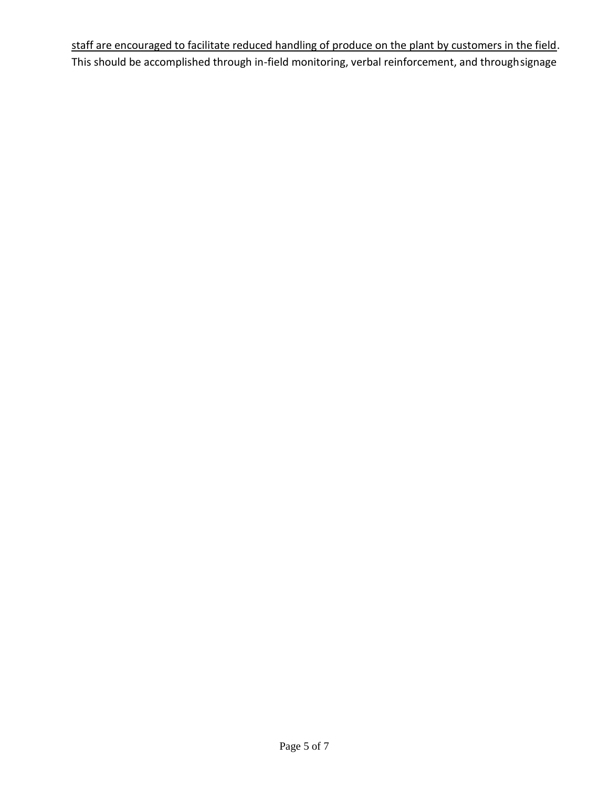staff are encouraged to facilitate reduced handling of produce on the plant by customers in the field. This should be accomplished through in-field monitoring, verbal reinforcement, and throughsignage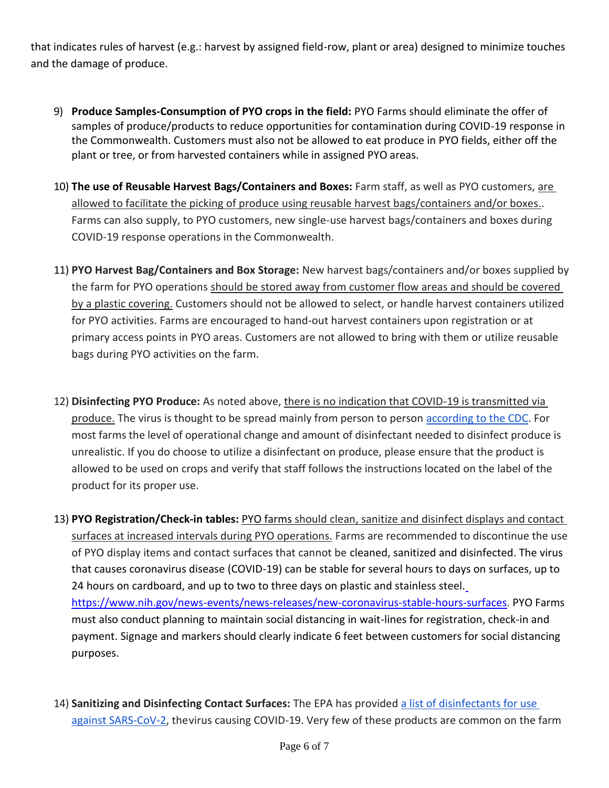that indicates rules of harvest (e.g.: harvest by assigned field-row, plant or area) designed to minimize touches and the damage of produce.

- 9) **Produce Samples-Consumption of PYO crops in the field:** PYO Farms should eliminate the offer of samples of produce/products to reduce opportunities for contamination during COVID-19 response in the Commonwealth. Customers must also not be allowed to eat produce in PYO fields, either off the plant or tree, or from harvested containers while in assigned PYO areas.
- 10) **The use of Reusable Harvest Bags/Containers and Boxes:** Farm staff, as well as PYO customers, are allowed to facilitate the picking of produce using reusable harvest bags/containers and/or boxes.. Farms can also supply, to PYO customers, new single-use harvest bags/containers and boxes during COVID-19 response operations in the Commonwealth.
- 11) **PYO Harvest Bag/Containers and Box Storage:** New harvest bags/containers and/or boxes supplied by the farm for PYO operations should be stored away from customer flow areas and should be covered by a plastic covering. Customers should not be allowed to select, or handle harvest containers utilized for PYO activities. Farms are encouraged to hand-out harvest containers upon registration or at primary access points in PYO areas. Customers are not allowed to bring with them or utilize reusable bags during PYO activities on the farm.
- 12) **Disinfecting PYO Produce:** As noted above, there is no indication that COVID-19 is transmitted via produce. The virus is thought to be spread mainly from person to person [according to the CDC.](https://urldefense.proofpoint.com/v2/url?u=https-3A__www.cdc.gov_coronavirus_2019-2Dncov_prepare_prevention.html&d=DwMFAw&c=lDF7oMaPKXpkYvev9V-fVahWL0QWnGCCAfCDz1Bns_w&r=eNHhKpUTWno0OCCO36klzi-gCZhKXhiakt-MJ9iZ2Do&m=-1p29xG9fkFSNHCQUxKQla0TES_6t6JaosXnfRZGUUA&s=JNDMA8B8uyIp3Wyhk0ZKbu0ZpeUuPv_uOhLaHGzmCW4&e) For most farms the level of operational change and amount of disinfectant needed to disinfect produce is unrealistic. If you do choose to utilize a disinfectant on produce, please ensure that the product is allowed to be used on crops and verify that staff follows the instructions located on the label of the product for its proper use.
- 13) **PYO Registration/Check-in tables:** PYO farms should clean, sanitize and disinfect displays and contact surfaces at increased intervals during PYO operations. Farms are recommended to discontinue the use of PYO display items and contact surfaces that cannot be cleaned, sanitized and disinfected. The virus that causes coronavirus disease (COVID-19) can be stable for several hours to days on surfaces, up to 24 hours on cardboard, and up to two to three days on plastic and stainless steel[.](https://www.nih.gov/news-events/news-releases/new-coronavirus-stable-hours-surfaces) [https://www.nih.gov/news-events/news-releases/new-coronavirus-stable-hours-surfaces.](https://www.nih.gov/news-events/news-releases/new-coronavirus-stable-hours-surfaces) PYO Farms must also conduct planning to maintain social distancing in wait-lines for registration, check-in and payment. Signage and markers should clearly indicate 6 feet between customers for social distancing purposes.
- 14) **Sanitizing and Disinfecting Contact Surfaces:** The EPA has provided [a list of disinfectants for use](https://urldefense.proofpoint.com/v2/url?u=https-3A__www.epa.gov_pesticide-2Dregistration_list-2Dn-2Ddisinfectants-2Duse-2Dagainst-2Dsars-2Dcov-2D2&d=DwMFAw&c=lDF7oMaPKXpkYvev9V-fVahWL0QWnGCCAfCDz1Bns_w&r=eNHhKpUTWno0OCCO36klzi-gCZhKXhiakt-MJ9iZ2Do&m=-1p29xG9fkFSNHCQUxKQla0TES_6t6JaosXnfRZGUUA&s=-5Nvi9ToYdFBQ08U9UZxo9eTlA7nIAQNgOyuxgf8z2M&e) [against SARS-CoV-2,](https://urldefense.proofpoint.com/v2/url?u=https-3A__www.epa.gov_pesticide-2Dregistration_list-2Dn-2Ddisinfectants-2Duse-2Dagainst-2Dsars-2Dcov-2D2&d=DwMFAw&c=lDF7oMaPKXpkYvev9V-fVahWL0QWnGCCAfCDz1Bns_w&r=eNHhKpUTWno0OCCO36klzi-gCZhKXhiakt-MJ9iZ2Do&m=-1p29xG9fkFSNHCQUxKQla0TES_6t6JaosXnfRZGUUA&s=-5Nvi9ToYdFBQ08U9UZxo9eTlA7nIAQNgOyuxgf8z2M&e) thevirus causing COVID-19. Very few of these products are common on the farm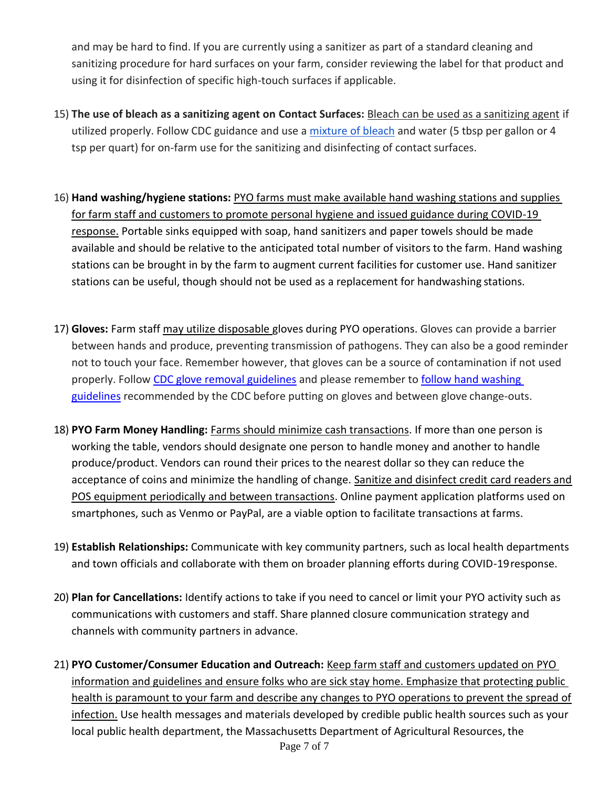and may be hard to find. If you are currently using a sanitizer as part of a standard cleaning and sanitizing procedure for hard surfaces on your farm, consider reviewing the label for that product and using it for disinfection of specific high-touch surfaces if applicable.

- 15) **The use of bleach as a sanitizing agent on Contact Surfaces:** Bleach can be used as a sanitizing agent if utilized properly. Follow CDC guidance and use a [mixture of bleach](https://urldefense.proofpoint.com/v2/url?u=https-3A__www.cdc.gov_coronavirus_2019-2Dncov_prepare_cleaning-2Ddisinfection.html-3FCDC-5FAA-5FrefVal-3Dhttps-253A-252F-252Fwww.cdc.gov-252Fcoronavirus-252F2019-2Dncov-252Fcommunity-252Fhome-252Fcleaning-2Ddisinfection.html&d=DwMFAw&c=lDF7oMaPKXpkYvev9V-fVahWL0QWnGCCAfCDz1Bns_w&r=eNHhKpUTWno0OCCO36klzi-gCZhKXhiakt-MJ9iZ2Do&m=-1p29xG9fkFSNHCQUxKQla0TES_6t6JaosXnfRZGUUA&s=ZRqNw2R3pvUvnhoSAMjApbQshGvECptZY1nQ0N1G-dw&e) and water (5 tbsp per gallon or 4 tsp per quart) for on-farm use for the sanitizing and disinfecting of contact surfaces.
- 16) **Hand washing/hygiene stations:** PYO farms must make available hand washing stations and supplies for farm staff and customers to promote personal hygiene and issued guidance during COVID-19 response. Portable sinks equipped with soap, hand sanitizers and paper towels should be made available and should be relative to the anticipated total number of visitors to the farm. Hand washing stations can be brought in by the farm to augment current facilities for customer use. Hand sanitizer stations can be useful, though should not be used as a replacement for handwashing stations.
- 17) **Gloves:** Farm staff may utilize disposable gloves during PYO operations. Gloves can provide a barrier between hands and produce, preventing transmission of pathogens. They can also be a good reminder not to touch your face. Remember however, that gloves can be a source of contamination if not used properly. Follow [CDC glove removal guidelines](https://www.cdc.gov/vhf/ebola/pdf/poster-how-to-remove-gloves.pdf) and please remember to [follow hand washing](https://www.cdc.gov/handwashing/when-how-handwashing.html) [guidelines](https://www.cdc.gov/handwashing/when-how-handwashing.html) recommended by the CDC before putting on gloves and between glove change-outs.
- 18) **PYO Farm Money Handling:** Farms should minimize cash transactions. If more than one person is working the table, vendors should designate one person to handle money and another to handle produce/product. Vendors can round their prices to the nearest dollar so they can reduce the acceptance of coins and minimize the handling of change. Sanitize and disinfect credit card readers and POS equipment periodically and between transactions. Online payment application platforms used on smartphones, such as Venmo or PayPal, are a viable option to facilitate transactions at farms.
- 19) **Establish Relationships:** Communicate with key community partners, such as local health departments and town officials and collaborate with them on broader planning efforts during COVID-19response.
- 20) **Plan for Cancellations:** Identify actions to take if you need to cancel or limit your PYO activity such as communications with customers and staff. Share planned closure communication strategy and channels with community partners in advance.
- 21) **PYO Customer/Consumer Education and Outreach:** Keep farm staff and customers updated on PYO information and guidelines and ensure folks who are sick stay home. Emphasize that protecting public health is paramount to your farm and describe any changes to PYO operations to prevent the spread of infection. Use health messages and materials developed by credible public health sources such as your local public health department, the Massachusetts Department of Agricultural Resources, the